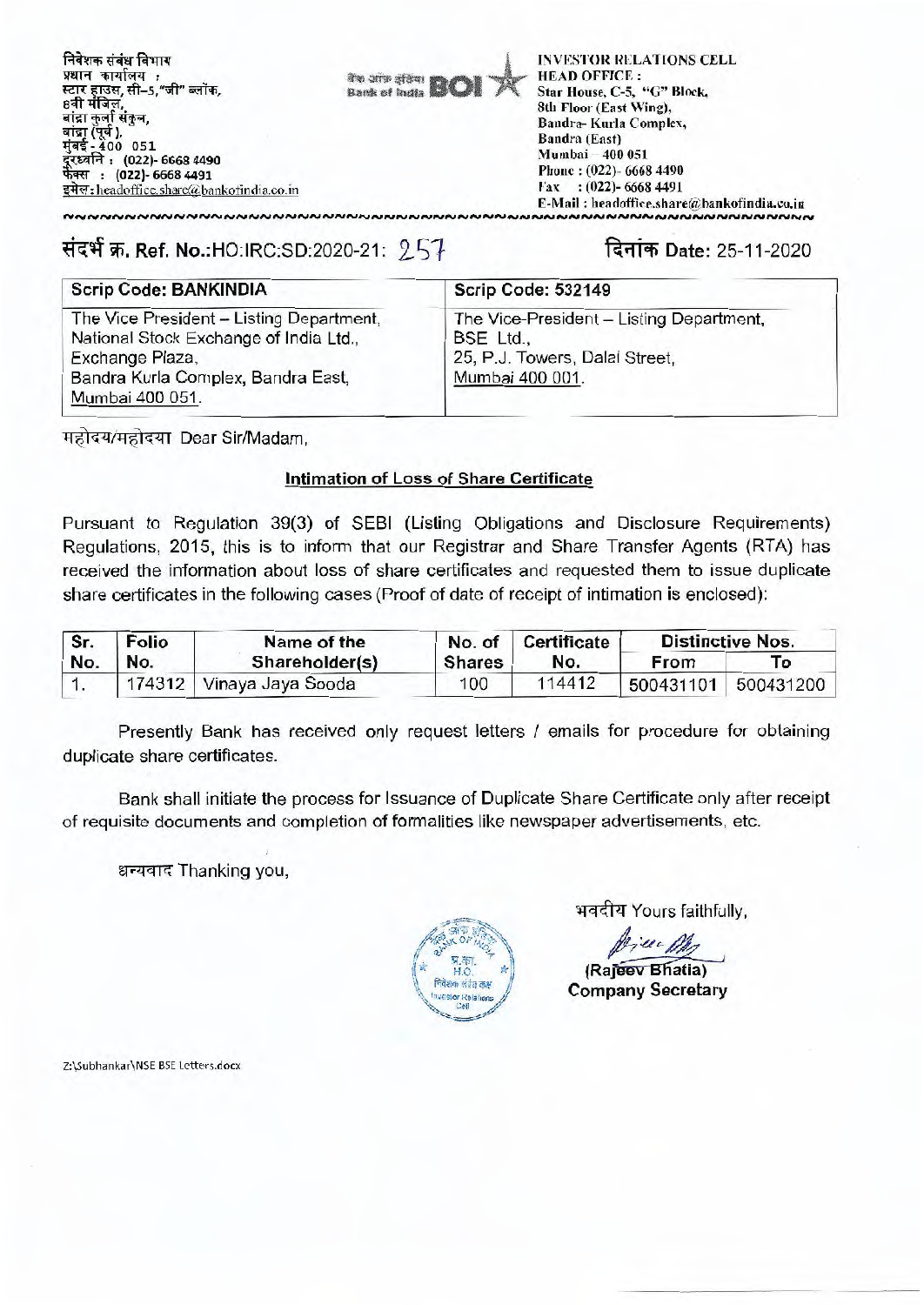**711T9' tvi4Triff : 4,45** rr **1-1T417.1 , #t-5,"At' Sank of**  str , बांद्रा कर्ला संकुल, मात्रा एवं ),<br>बांद्रा (पूर्व ),<br>मुंबई <u>-</u> 400 051 **(022)- 6668 4490 : (022)- 6668 4491 4c.i:headatice.sharc@bankofindia.co.in** 

**ftql Aft mita "WWI** 

**INVESTOR RELATIONS CELL HEAD OFFICE :**  Star House, C-5, "C" Block, 8th Floor (East Wing), Bandra- Kurla Complex, Bandra (East) Mumbai — 400 051 Phone : (022)- 6668 4490 Fax : (022)- 6668 4491 E-Mail : headoffice.share@bankofindia.co.in

# **(114 W. Ref. No.:HO:IRC:SD:2020-21:** 2.54 **r<91T Date: 25-11-2020**

## Scrip Code: BANKINDIA Scrip Code: 532149

The Vice President — Listing Department, National Stock Exchange of India Ltd., Exchange Plaza, Bandra Kuria Complex, Bandra East, Mumbai 400 051.

**NNNNNNNNNNNNNNNNNNN** 

The Vice-President — Listing Department, BSE Ltd., 25, P.J. Towers, Dalal Street, Mumbai 400 001.

महोदय/महोदया Dear Sir/Madam,

## **Intimation of Loss of Share Certificate**

Pursuant to Regulation 39(3) of SEBI (Listing Obligations and Disclosure Requirements) Regulations, 2015, this is to inform that our Registrar and Share Transfer Agents (RTA) has received the information about loss of share certificates and requested them to issue duplicate share certificates in the following cases (Proof of date of receipt of intimation is enclosed):

| Sr. | <b>Folio</b> | Name of the                |               | No. of Certificate | <b>Distinctive Nos.</b> |                     |  |
|-----|--------------|----------------------------|---------------|--------------------|-------------------------|---------------------|--|
| No. | No.          | Shareholder(s)             | <b>Shares</b> | No.                | From                    | Tο                  |  |
|     |              | 174312   Vinaya Jaya Sooda | 100           | 114412             |                         | 500431101 500431200 |  |

Presently Bank has received only request letters / emails for procedure for obtaining duplicate share certificates.

Bank shall initiate the process for Issuance of Duplicate Share Certificate only after receipt of requisite documents and completion of formalities like newspaper advertisements, etc.

धन्यवाद Thanking you,



भवदीय Yours faithfully,

**(Raieev Bhatia)** 

**Company Secretary** 

Z:\Subhankar\NSE BSE Letters.docx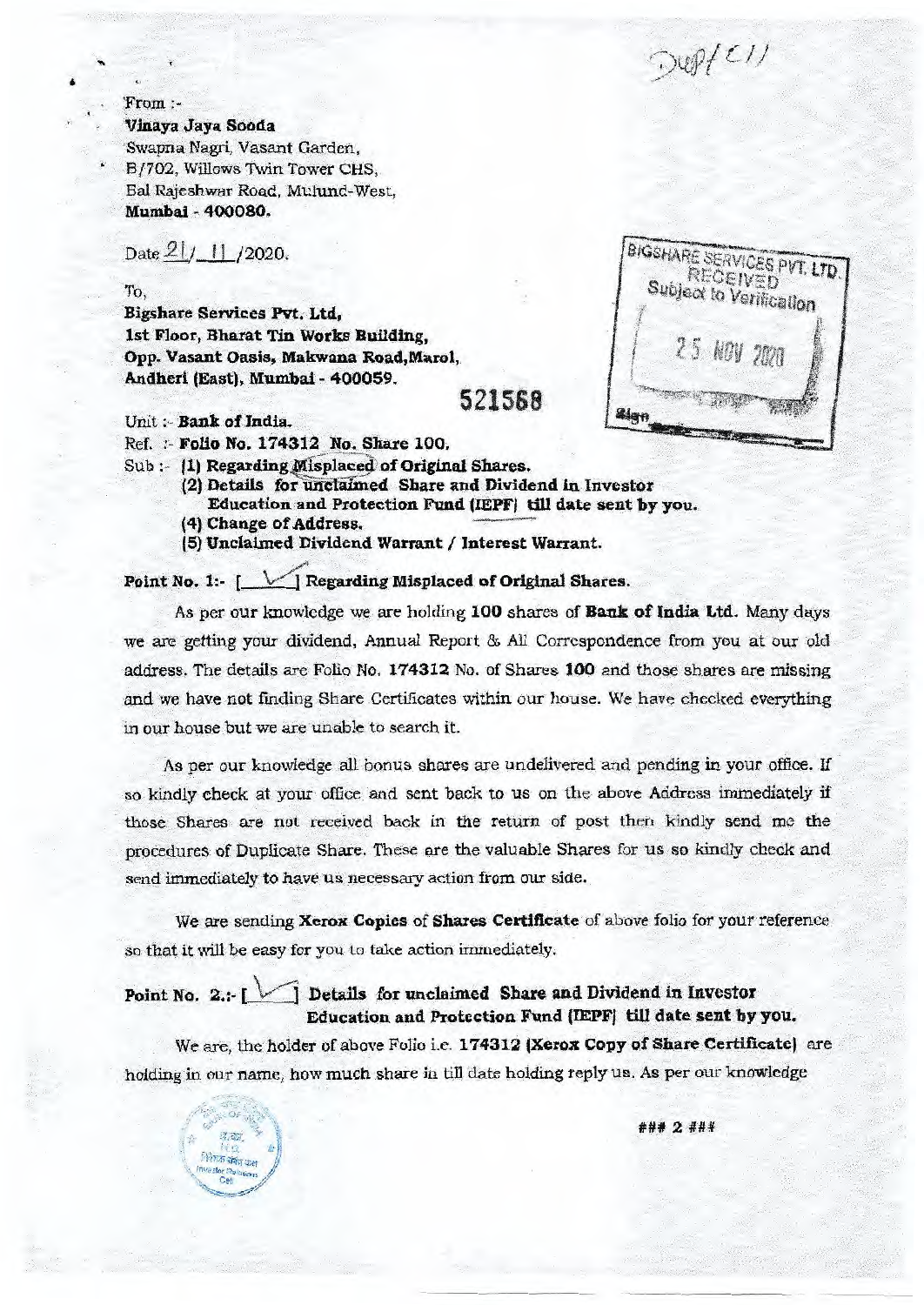$Duff$ 

#### \*From **:-**

**Vinaya Jaya Sooda** 

Swapna Nagti, Vasant Garden, B/702, Willows Twin Tower CHS, Bat Rajeshwar Road, Mulund-West, **Mumbai 400080.** 

Date  $21/11/2020$ .

#### To,

**Bigshare Services Pvt. Ltd, 1st Floor, Bharat Tin Works Building, Opp. Vasant Oasis, Makwana Road,Marol, Andheri (East), Mumbai - 400059. 521588** 

Unit :- **Bank of India.** 

निरेशक संबंध कम

- Ref. :- **Folio No. 174312 No. Share 100.**
- Sub :- **(1) Regarding Misplaced of Original Shares.** 
	- (2) Details for unclaimed Share and Dividend in Investor **Education and Protection Fund (IEPF) till date sent by you.**
	- **(4) Change of Address.**
	- **(5) Unclaimed Dividend Warrant / Interest Warrant.**

**Point No. 1:- [** $\checkmark$ ] Regarding Misplaced of Original Shares.

**BIGSHARE SERVICES PVT. LTD.** Subject to Verification Sign

As per our knowledge we are holding **100** shares of **Bank of India Ltd.** Many days we are getting your dividend, Annual Report & All Correspondence from you at our old address. The details are Folio No. **174312** No. of Shares **100** and those shares are missing and we have not finding Share Certificates within our house. We have checked everything in our house but we are unable to search it.

As per our knowledge all bonus shares are undelivered and pending in your office. If so kindly check at your office and sent back to us on the above Address immediately if those Shares are not received back in the return of post then kindly send me the procedures of Duplicate Share. These are the valuable Shares for us so kindly check and send immediately to have us necessary action from our side.

We are sending **Xerox Copies** of **Shares Certificate** of above folio for your reference so that it will be easy for you to take action immediately.

## **Point No. 2.:- \V1 Details for unclaimed Share and Dividend in Investor Education and Protection Fund (IEPF) till date sent by you.**

We are, the holder of above Folio i.e. **174312 (Xerox Copy of Share Certificate)** are holding in our name, how much share in till date holding reply us. As per our knowledge

### 2 ###